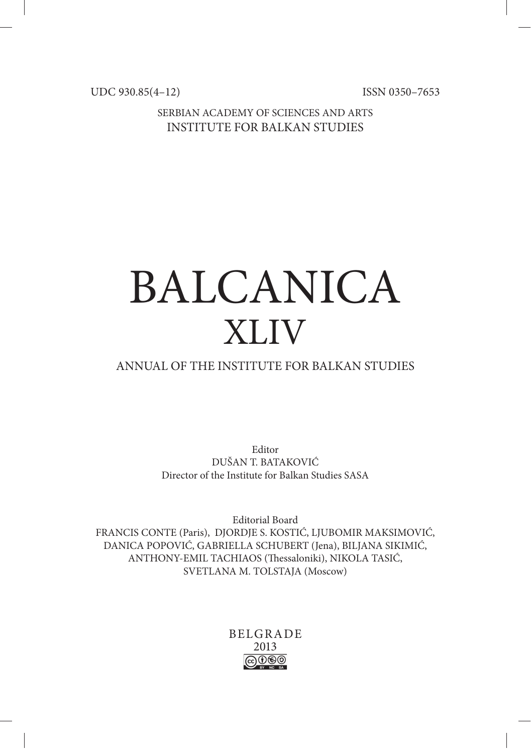UDC 930.85(4–12) ISSN 0350-7653

SERBIAN ACADEMY OF SCIENCES AND ARTS INSTITUTE FOR BALKAN STUDIES

# BALCANICA XLIV

# ANNUAL OF THE INSTITUTE FOR BALKAN STUDIES

Editor DUŠAN T. BATAKOVIĆ Director of the Institute for Balkan Studies SASA

Editorial Board FRANCIS CONTE (Paris), DJORDJE S. KOSTIĆ, LJUBOMIR MAKSIMOVIĆ, DANICA POPOVIĆ, GABRIELLA SCHUBERT (Jena), BILJANA SIKIMIĆ, ANTHONY-EMIL TACHIAOS (Thessaloniki), NIKOLA TASIĆ, SVETLANA M. TOLSTAJA (Moscow)

# BELGRADE 2013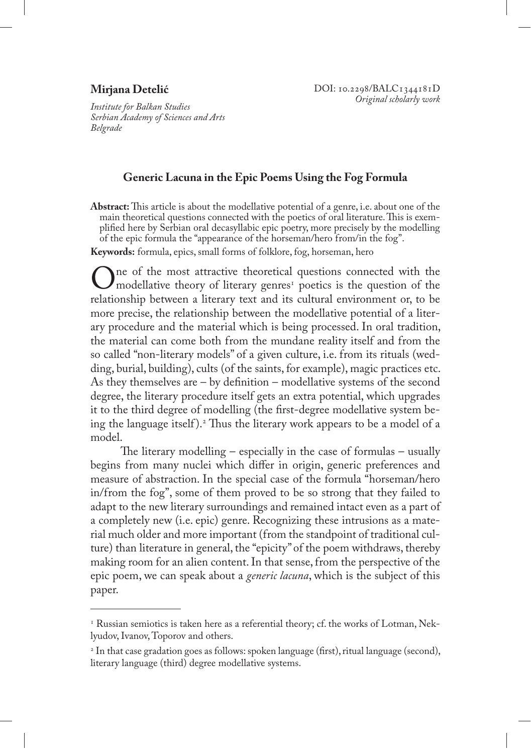## **Mirjana Detelić**

*Institute for Balkan Studies Serbian Academy of Sciences and Arts Belgrade* 

### **Generic Lacuna in the Epic Poems Using the Fog Formula**

**Abstract:** This article is about the modellative potential of a genre, i.e. about one of the main theoretical questions connected with the poetics of oral literature. This is exemplified here by Serbian oral decasyllabic epic poetry, more precisely by the modelling of the epic formula the "appearance of the horseman/hero from/in the fog".

**Keywords:** formula, epics, small forms of folklore, fog, horseman, hero

One of the most attractive theoretical questions connected with the modellative theory of literary genres<sup>1</sup> poetics is the question of the relationship between a literary text and its cultural environment or to be relationship between a literary text and its cultural environment or, to be more precise, the relationship between the modellative potential of a literary procedure and the material which is being processed. In oral tradition, the material can come both from the mundane reality itself and from the so called "non-literary models" of a given culture, i.e. from its rituals (wedding, burial, building), cults (of the saints, for example), magic practices etc. As they themselves are – by definition – modellative systems of the second degree, the literary procedure itself gets an extra potential, which upgrades it to the third degree of modelling (the first-degree modellative system being the language itself ).2 Thus the literary work appears to be a model of a model.

The literary modelling – especially in the case of formulas – usually begins from many nuclei which differ in origin, generic preferences and measure of abstraction. In the special case of the formula "horseman/hero in/from the fog", some of them proved to be so strong that they failed to adapt to the new literary surroundings and remained intact even as a part of a completely new (i.e. epic) genre. Recognizing these intrusions as a material much older and more important (from the standpoint of traditional culture) than literature in general, the "epicity" of the poem withdraws, thereby making room for an alien content. In that sense, from the perspective of the epic poem, we can speak about a *generic lacuna*, which is the subject of this paper.

 $\scriptstyle\rm I$  Russian semiotics is taken here as a referential theory; cf. the works of Lotman, Neklyudov, Ivanov, Toporov and others.

<sup>2</sup> In that case gradation goes as follows: spoken language (first), ritual language (second), literary language (third) degree modellative systems.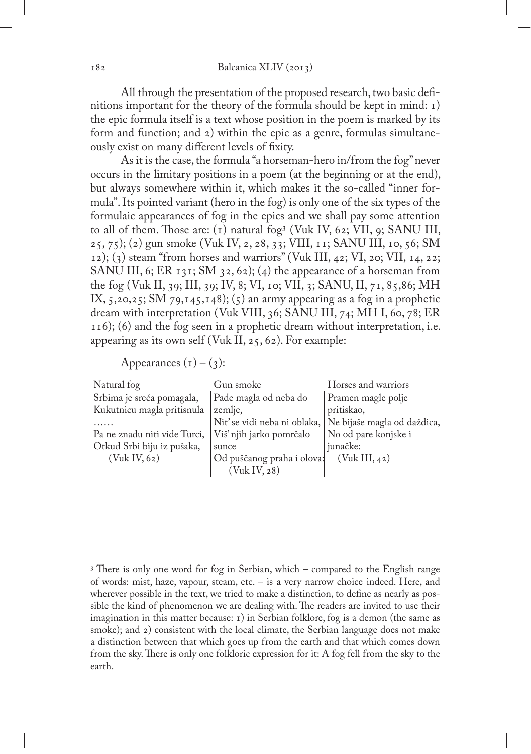All through the presentation of the proposed research, two basic definitions important for the theory of the formula should be kept in mind: 1) the epic formula itself is a text whose position in the poem is marked by its form and function; and 2) within the epic as a genre, formulas simultaneously exist on many different levels of fixity.

As it is the case, the formula "a horseman-hero in/from the fog" never occurs in the limitary positions in a poem (at the beginning or at the end), but always somewhere within it, which makes it the so-called "inner formula". Its pointed variant (hero in the fog) is only one of the six types of the formulaic appearances of fog in the epics and we shall pay some attention to all of them. Those are: (1) natural fog3 (Vuk IV, 62; VII, 9; SANU III, 25, 75); (2) gun smoke (Vuk IV, 2, 28, 33; VIII, 11; SANU III, 10, 56; SM  $(1, 2)$ ; (3) steam "from horses and warriors" (Vuk III, 42; VI, 20; VII, 14, 22; SANU III, 6; ER  $131$ ; SM  $32, 62$ ); (4) the appearance of a horseman from the fog (Vuk II, 39; III, 39; IV, 8; VI, 10; VII, 3; SANU, II, 71, 85,86; MH IX,  $5,20,25$ ; SM  $79,145,148$ ;  $(5)$  an army appearing as a fog in a prophetic dream with interpretation (Vuk VIII, 36; SANU III, 74; MH I, 60, 78; ER 116); (6) and the fog seen in a prophetic dream without interpretation, i.e. appearing as its own self (Vuk II, 25, 62). For example:

Appearances  $(i) - (3)$ :

| Natural fog                  | Gun smoke                  | Horses and warriors                                        |
|------------------------------|----------------------------|------------------------------------------------------------|
| Srbima je sreća pomagala,    | Pade magla od neba do      | Pramen magle polje                                         |
| Kukutnicu magla pritisnula   | zemlje,                    | pritiskao,                                                 |
|                              |                            | Nit' se vidi neba ni oblaka,   Ne bijaše magla od daždica, |
| Pa ne znadu niti vide Turci, | Viš' njih jarko pomrčalo   | No od pare konjske i                                       |
| Otkud Srbi biju iz pušaka,   | sunce                      | junačke:                                                   |
| (Vuk IV, 62)                 | Od puščanog praha i olova: | (Vuk III, 42)                                              |
|                              | (Vuk IV, 28)               |                                                            |

<sup>3</sup> There is only one word for fog in Serbian, which – compared to the English range of words: mist, haze, vapour, steam, etc. – is a very narrow choice indeed. Here, and wherever possible in the text, we tried to make a distinction, to define as nearly as possible the kind of phenomenon we are dealing with. The readers are invited to use their imagination in this matter because: 1) in Serbian folklore, fog is a demon (the same as smoke); and 2) consistent with the local climate, the Serbian language does not make a distinction between that which goes up from the earth and that which comes down from the sky. There is only one folkloric expression for it: A fog fell from the sky to the earth.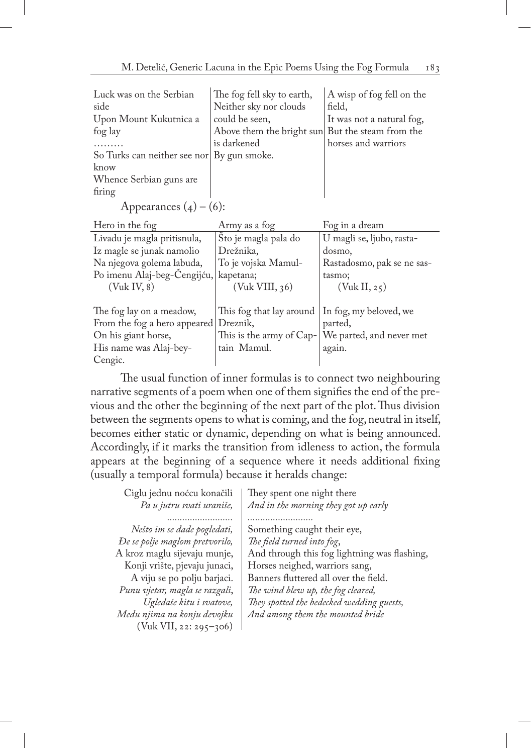| Luck was on the Serbian<br>side<br>Upon Mount Kukutnica a<br>fog lay<br>So Turks can neither see nor<br>know<br>Whence Serbian guns are<br>firing<br>Appearances $(4) - (6)$ : | The fog fell sky to earth,<br>Neither sky nor clouds<br>could be seen,<br>Above them the bright sun But the steam from the<br>is darkened<br>By gun smoke. | A wisp of fog fell on the<br>field,<br>It was not a natural fog,<br>horses and warriors |
|--------------------------------------------------------------------------------------------------------------------------------------------------------------------------------|------------------------------------------------------------------------------------------------------------------------------------------------------------|-----------------------------------------------------------------------------------------|
| Hero in the fog                                                                                                                                                                | Army as a fog                                                                                                                                              | Fog in a dream                                                                          |
| Livadu je magla pritisnula,                                                                                                                                                    | Sto je magla pala do                                                                                                                                       | U magli se, ljubo, rasta-                                                               |
| Iz magle se junak namolio                                                                                                                                                      | Drežnika,                                                                                                                                                  | dosmo,                                                                                  |
| Na njegova golema labuda,                                                                                                                                                      | To je vojska Mamul-                                                                                                                                        | Rastadosmo, pak se ne sas-                                                              |
| Po imenu Alaj-beg-Cengijću,                                                                                                                                                    | kapetana;                                                                                                                                                  | tasmo;                                                                                  |
| (Vuk IV, 8)                                                                                                                                                                    | (Vuk VIII, 36)                                                                                                                                             | (Vuk II, 25)                                                                            |
| The fog lay on a meadow,                                                                                                                                                       | This fog that lay around                                                                                                                                   | In fog, my beloved, we                                                                  |
| From the fog a hero appeared Dreznik,                                                                                                                                          |                                                                                                                                                            | parted,                                                                                 |
| On his giant horse,                                                                                                                                                            |                                                                                                                                                            | This is the army of Cap-   We parted, and never met                                     |
| His name was Alaj-bey-                                                                                                                                                         | tain Mamul.                                                                                                                                                | again.                                                                                  |

The usual function of inner formulas is to connect two neighbouring narrative segments of a poem when one of them signifies the end of the previous and the other the beginning of the next part of the plot. Thus division between the segments opens to what is coming, and the fog, neutral in itself, becomes either static or dynamic, depending on what is being announced. Accordingly, if it marks the transition from idleness to action, the formula appears at the beginning of a sequence where it needs additional fixing (usually a temporal formula) because it heralds change:

Cengic.

| Ciglu jednu noćcu konačili     | They spent one night there                   |
|--------------------------------|----------------------------------------------|
| Pa u jutru svati uraniše,      | And in the morning they got up early         |
|                                |                                              |
| Nešto im se dade pogledati,    | Something caught their eye,                  |
| De se polje maglom pretvorilo, | The field turned into fog,                   |
| A kroz maglu sijevaju munje,   | And through this fog lightning was flashing, |
| Konji vrište, pjevaju junaci,  | Horses neighed, warriors sang,               |
| A viju se po polju barjaci.    | Banners fluttered all over the field.        |
| Punu vjetar, magla se razgali, | The wind blew up, the fog cleared,           |
| Ugledaše kitu i svatove,       | They spotted the bedecked wedding guests,    |
| Među njima na konju đevojku    | And among them the mounted bride             |
| $(Vuk VII, 22: 295-306)$       |                                              |
|                                |                                              |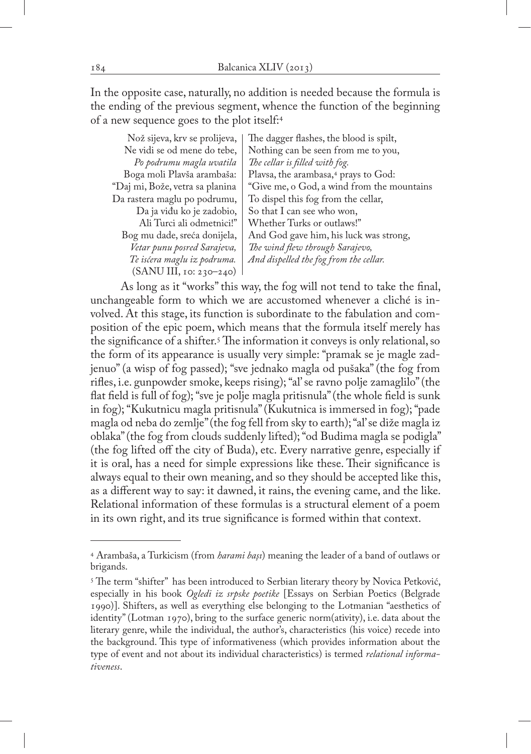In the opposite case, naturally, no addition is needed because the formula is the ending of the previous segment, whence the function of the beginning of a new sequence goes to the plot itself:4

Nož sijeva, krv se prolijeva, Ne vidi se od mene do tebe, *Po podrumu magla uvatila* Boga moli Plavša arambaša: "Daj mi, Bože, vetra sa planina Da rastera maglu po podrumu, Da ja viđu ko je zadobio, Ali Turci ali odmetnici!" Bog mu dade, sreća donijela, *Vetar punu posred Sarajeva, Te isćera maglu iz podruma.* (SANU III, 10: 230–240)

The dagger flashes, the blood is spilt, Nothing can be seen from me to you, *The cellar is filled with fog.* Plavsa, the arambasa,<sup>4</sup> prays to God: "Give me, o God, a wind from the mountains To dispel this fog from the cellar, So that I can see who won, Whether Turks or outlaws!" And God gave him, his luck was strong, *The wind flew through Sarajevo, And dispelled the fog from the cellar.*

As long as it "works" this way, the fog will not tend to take the final, unchangeable form to which we are accustomed whenever a cliché is involved. At this stage, its function is subordinate to the fabulation and composition of the epic poem, which means that the formula itself merely has the significance of a shifter.5 The information it conveys is only relational, so the form of its appearance is usually very simple: "pramak se je magle zadjenuo" (a wisp of fog passed); "sve jednako magla od pušaka" (the fog from rifles, i.e. gunpowder smoke, keeps rising); "al' se ravno polje zamaglilo" (the flat field is full of fog); "sve je polje magla pritisnula" (the whole field is sunk in fog); "Kukutnicu magla pritisnula" (Kukutnica is immersed in fog); "pade magla od neba do zemlje" (the fog fell from sky to earth); "al' se diže magla iz oblaka" (the fog from clouds suddenly lifted); "od Budima magla se podigla" (the fog lifted off the city of Buda), etc. Every narrative genre, especially if it is oral, has a need for simple expressions like these. Their significance is always equal to their own meaning, and so they should be accepted like this, as a different way to say: it dawned, it rains, the evening came, and the like. Relational information of these formulas is a structural element of a poem in its own right, and its true significance is formed within that context.

<sup>4</sup> Arambaša, a Turkicism (from *harami başı*) meaning the leader of a band of outlaws or brigands.

<sup>&</sup>lt;sup>5</sup> The term "shifter" has been introduced to Serbian literary theory by Novica Petković, especially in his book *Ogledi iz srpske poetike* [Essays on Serbian Poetics (Belgrade 1990)]. Shifters, as well as everything else belonging to the Lotmanian "aesthetics of identity" (Lotman 1970), bring to the surface generic norm(ativity), i.e. data about the literary genre, while the individual, the author's, characteristics (his voice) recede into the background. This type of informativeness (which provides information about the type of event and not about its individual characteristics) is termed *relational informativeness*.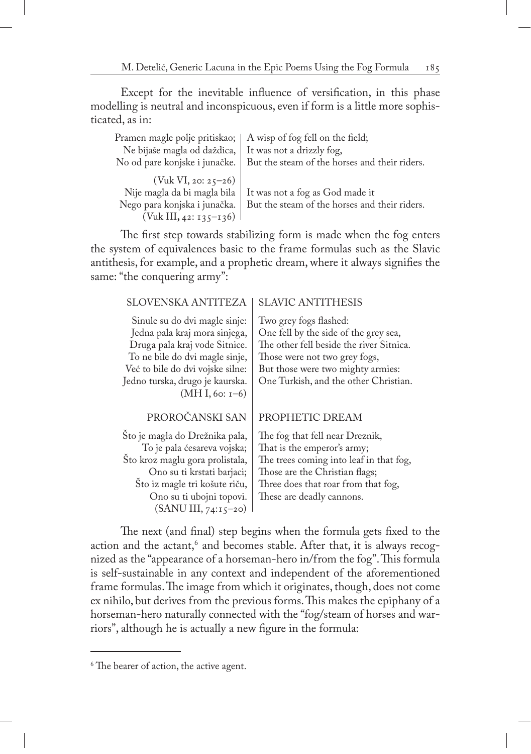Except for the inevitable influence of versification, in this phase modelling is neutral and inconspicuous, even if form is a little more sophisticated, as in:

| Pramen magle polje pritiskao;   A wisp of fog fell on the field; |                                                                               |
|------------------------------------------------------------------|-------------------------------------------------------------------------------|
| Ne bijaše magla od daždica,   It was not a drizzly fog,          |                                                                               |
|                                                                  | No od pare konjske i junačke.   But the steam of the horses and their riders. |
| $(Vuk VI, 20: 25-26)$                                            |                                                                               |
|                                                                  | Nije magla da bi magla bila   It was not a fog as God made it                 |
|                                                                  | Nego para konjska i junačka.   But the steam of the horses and their riders.  |
| (Vuk III, 42: 135–136)                                           |                                                                               |

The first step towards stabilizing form is made when the fog enters the system of equivalences basic to the frame formulas such as the Slavic antithesis, for example, and a prophetic dream, where it always signifies the same: "the conquering army":

#### SLOVENSKA ANTITEZA

Sinule su do dvi magle sinje: Jedna pala kraj mora sinjega, Druga pala kraj vode Sitnice. To ne bile do dvi magle sinje, Već to bile do dvi vojske silne: Jedno turska, drugo je kaurska. (MH I, 60: 1–6)

#### SLAVIC ANTITHESIS

Two grey fogs flashed: One fell by the side of the grey sea, The other fell beside the river Sitnica. Those were not two grey fogs, But those were two mighty armies: One Turkish, and the other Christian.

#### PROROČANSKI SAN

Što je magla do Drežnika pala, To je pala ćesareva vojska; Što kroz maglu gora prolistala, Ono su ti krstati barjaci; Što iz magle tri košute riču, Ono su ti ubojni topovi. (SANU III, 74:15–20)

#### PROPHETIC DREAM

The fog that fell near Dreznik, That is the emperor's army; The trees coming into leaf in that fog, Those are the Christian flags; Three does that roar from that fog, These are deadly cannons.

The next (and final) step begins when the formula gets fixed to the action and the actant, $^6$  and becomes stable. After that, it is always recognized as the "appearance of a horseman-hero in/from the fog". This formula is self-sustainable in any context and independent of the aforementioned frame formulas. The image from which it originates, though, does not come ex nihilo, but derives from the previous forms. This makes the epiphany of a horseman-hero naturally connected with the "fog/steam of horses and warriors", although he is actually a new figure in the formula:

<sup>6</sup> The bearer of action, the active agent.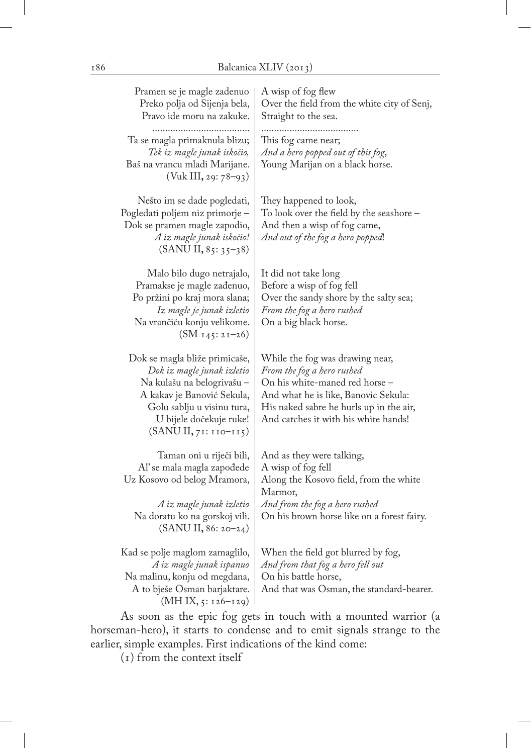| Pramen se je magle zadenuo<br>Preko polja od Sijenja bela,<br>Pravo ide moru na zakuke.                                                                                                                   | A wisp of fog flew<br>Over the field from the white city of Senj,<br>Straight to the sea.                                                                                                                                  |
|-----------------------------------------------------------------------------------------------------------------------------------------------------------------------------------------------------------|----------------------------------------------------------------------------------------------------------------------------------------------------------------------------------------------------------------------------|
| <br>Ta se magla primaknula blizu;<br>Tek iz magle junak iskočio,<br>Baš na vrancu mladi Marijane.<br>$(Vuk III, 29: 78-93)$                                                                               | This fog came near;<br>And a hero popped out of this fog,<br>Young Marijan on a black horse.                                                                                                                               |
| Nešto im se dade pogledati,<br>Pogledati poljem niz primorje -<br>Dok se pramen magle zapodio,<br>A iz magle junak iskočio!<br>$(SANU II, 85:35=38)$                                                      | They happened to look,<br>To look over the field by the seashore -<br>And then a wisp of fog came,<br>And out of the fog a hero popped!                                                                                    |
| Malo bilo dugo netrajalo,<br>Pramakse je magle zađenuo,<br>Po pržini po kraj mora slana;<br>Iz magle je junak izletio<br>Na vrančiću konju velikome.<br>$(SM_{145}:21-26)$                                | It did not take long<br>Before a wisp of fog fell<br>Over the sandy shore by the salty sea;<br>From the fog a hero rushed<br>On a big black horse.                                                                         |
| Dok se magla bliže primicaše,<br>Dok iz magle junak izletio<br>Na kulašu na belogrivašu -<br>A kakav je Banović Sekula,<br>Golu sablju u visinu tura,<br>U bijele dočekuje ruke!<br>$(SANUI, 71:110-115)$ | While the fog was drawing near,<br>From the fog a hero rushed<br>On his white-maned red horse -<br>And what he is like, Banovic Sekula:<br>His naked sabre he hurls up in the air,<br>And catches it with his white hands! |
| Taman oni u riječi bili,<br>Al' se mala magla zapođede<br>Uz Kosovo od belog Mramora,<br>A iz magle junak izletio<br>Na doratu ko na gorskoj vili.<br>(SANU II, 86: 20–24)                                | And as they were talking,<br>A wisp of fog fell<br>Along the Kosovo field, from the white<br>Marmor,<br>And from the fog a hero rushed<br>On his brown horse like on a forest fairy.                                       |
| Kad se polje maglom zamaglilo,<br>A iz magle junak ispanuo<br>Na malinu, konju od megdana,<br>A to bješe Osman barjaktare.<br>$(MH IX, 5: 126 - 129)$                                                     | When the field got blurred by fog,<br>And from that fog a hero fell out<br>On his battle horse,<br>And that was Osman, the standard-bearer.                                                                                |

As soon as the epic fog gets in touch with a mounted warrior (a horseman-hero), it starts to condense and to emit signals strange to the earlier, simple examples. First indications of the kind come:

(1) from the context itself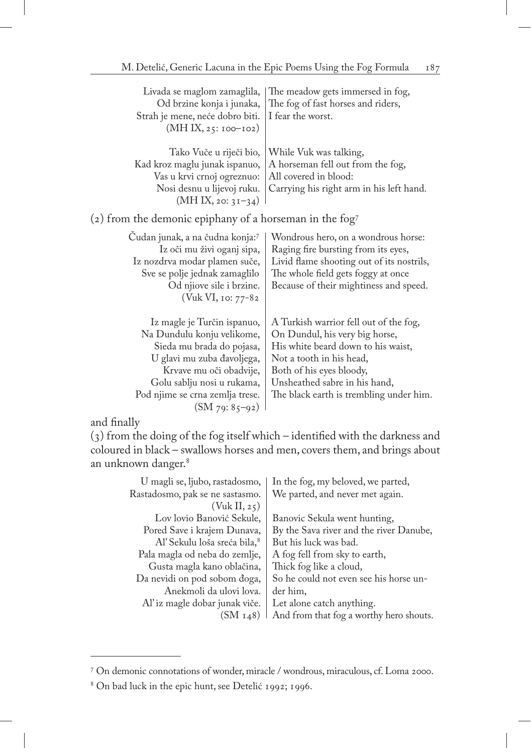| Livada se maglom zamaglila,<br>Od brzine konja i junaka,<br>Strah je mene, neće dobro biti.<br>(MH IX, 25: 100–102)                                                                                                                  | The meadow gets immersed in fog,<br>The fog of fast horses and riders,<br>I fear the worst.                                                                                                                                                        |
|--------------------------------------------------------------------------------------------------------------------------------------------------------------------------------------------------------------------------------------|----------------------------------------------------------------------------------------------------------------------------------------------------------------------------------------------------------------------------------------------------|
| Tako Vuče u riječi bio,<br>Kad kroz maglu junak ispanuo,<br>Vas u krvi crnoj ogreznuo:<br>Nosi desnu u lijevoj ruku.<br>$(MH IX, 20: 3I-34)$                                                                                         | While Vuk was talking,<br>A horseman fell out from the fog,<br>All covered in blood:<br>Carrying his right arm in his left hand.                                                                                                                   |
| (2) from the demonic epiphany of a horseman in the fog <sup>7</sup>                                                                                                                                                                  |                                                                                                                                                                                                                                                    |
| Cudan junak, a na čudna konja:7<br>Iz oči mu živi oganj sipa,<br>Iz nozdrva modar plamen suče,<br>Sve se polje jednak zamaglilo<br>Od njiove sile i brzine.<br>(Vuk VI, 10: 77-82                                                    | Wondrous hero, on a wondrous horse:<br>Raging fire bursting from its eyes,<br>Livid flame shooting out of its nostrils,<br>The whole field gets foggy at once<br>Because of their mightiness and speed.                                            |
| Iz magle je Turčin ispanuo,<br>Na Dundulu konju velikome,<br>Sieda mu brada do pojasa,<br>U glavi mu zuba đavoljega,<br>Krvave mu oči obadvije,<br>Golu sablju nosi u rukama,<br>Pod njime se crna zemlja trese.<br>$(SM 79: 85-92)$ | A Turkish warrior fell out of the fog,<br>On Dundul, his very big horse,<br>His white beard down to his waist,<br>Not a tooth in his head,<br>Both of his eyes bloody,<br>Unsheathed sabre in his hand,<br>The black earth is trembling under him. |

and finally

(3) from the doing of the fog itself which – identified with the darkness and coloured in black – swallows horses and men, covers them, and brings about an unknown danger.8

| We parted, and never met again.<br>Rastadosmo, pak se ne sastasmo.<br>(Vuk II, 25)<br>Lov lovio Banović Sekule,<br>Banovic Sekula went hunting,<br>By the Sava river and the river Danube,<br>Pored Save i krajem Dunava,<br>Al' Sekulu loša sreća bila, 8<br>But his luck was bad.<br>Pala magla od neba do zemlje,<br>A fog fell from sky to earth,<br>Thick fog like a cloud,<br>Gusta magla kano oblačina,<br>So he could not even see his horse un-<br>Da nevidi on pod sobom đoga,<br>Anekmoli da ulovi lova.<br>der him,<br>Al' iz magle dobar junak viče.<br>Let alone catch anything.<br>(SM <sub>148</sub> ) | U magli se, ljubo, rastadosmo, | In the fog, my beloved, we parted,      |
|------------------------------------------------------------------------------------------------------------------------------------------------------------------------------------------------------------------------------------------------------------------------------------------------------------------------------------------------------------------------------------------------------------------------------------------------------------------------------------------------------------------------------------------------------------------------------------------------------------------------|--------------------------------|-----------------------------------------|
|                                                                                                                                                                                                                                                                                                                                                                                                                                                                                                                                                                                                                        |                                |                                         |
|                                                                                                                                                                                                                                                                                                                                                                                                                                                                                                                                                                                                                        |                                |                                         |
|                                                                                                                                                                                                                                                                                                                                                                                                                                                                                                                                                                                                                        |                                |                                         |
|                                                                                                                                                                                                                                                                                                                                                                                                                                                                                                                                                                                                                        |                                |                                         |
|                                                                                                                                                                                                                                                                                                                                                                                                                                                                                                                                                                                                                        |                                |                                         |
|                                                                                                                                                                                                                                                                                                                                                                                                                                                                                                                                                                                                                        |                                |                                         |
|                                                                                                                                                                                                                                                                                                                                                                                                                                                                                                                                                                                                                        |                                |                                         |
|                                                                                                                                                                                                                                                                                                                                                                                                                                                                                                                                                                                                                        |                                |                                         |
|                                                                                                                                                                                                                                                                                                                                                                                                                                                                                                                                                                                                                        |                                |                                         |
|                                                                                                                                                                                                                                                                                                                                                                                                                                                                                                                                                                                                                        |                                |                                         |
|                                                                                                                                                                                                                                                                                                                                                                                                                                                                                                                                                                                                                        |                                | And from that fog a worthy hero shouts. |

<sup>7</sup> On demonic connotations of wonder, miracle / wondrous, miraculous, cf. Loma 2000.

<sup>8</sup> On bad luck in the epic hunt, see Detelić 1992; 1996.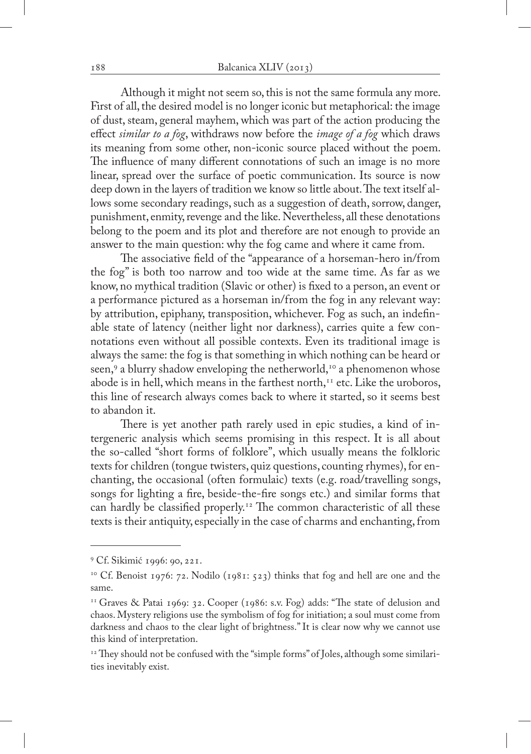Although it might not seem so, this is not the same formula any more. First of all, the desired model is no longer iconic but metaphorical: the image of dust, steam, general mayhem, which was part of the action producing the effect *similar to a fog*, withdraws now before the *image of a fog* which draws its meaning from some other, non-iconic source placed without the poem. The influence of many different connotations of such an image is no more linear, spread over the surface of poetic communication. Its source is now deep down in the layers of tradition we know so little about. The text itself allows some secondary readings, such as a suggestion of death, sorrow, danger, punishment, enmity, revenge and the like. Nevertheless, all these denotations belong to the poem and its plot and therefore are not enough to provide an answer to the main question: why the fog came and where it came from.

The associative field of the "appearance of a horseman-hero in/from the fog" is both too narrow and too wide at the same time. As far as we know, no mythical tradition (Slavic or other) is fixed to a person, an event or a performance pictured as a horseman in/from the fog in any relevant way: by attribution, epiphany, transposition, whichever. Fog as such, an indefinable state of latency (neither light nor darkness), carries quite a few connotations even without all possible contexts. Even its traditional image is always the same: the fog is that something in which nothing can be heard or seen,<sup>9</sup> a blurry shadow enveloping the netherworld,<sup>10</sup> a phenomenon whose abode is in hell, which means in the farthest north, $11$  etc. Like the uroboros, this line of research always comes back to where it started, so it seems best to abandon it.

There is yet another path rarely used in epic studies, a kind of intergeneric analysis which seems promising in this respect. It is all about the so-called "short forms of folklore", which usually means the folkloric texts for children (tongue twisters, quiz questions, counting rhymes), for enchanting, the occasional (often formulaic) texts (e.g. road/travelling songs, songs for lighting a fire, beside-the-fire songs etc.) and similar forms that can hardly be classified properly.<sup>12</sup> The common characteristic of all these texts is their antiquity, especially in the case of charms and enchanting, from

<sup>9</sup> Cf. Sikimić 1996: 90, 221.

<sup>&</sup>lt;sup>10</sup> Cf. Benoist 1976: 72. Nodilo (1981: 523) thinks that fog and hell are one and the same.

<sup>&</sup>lt;sup>11</sup> Graves & Patai 1969: 32. Cooper (1986: s.v. Fog) adds: "The state of delusion and chaos. Mystery religions use the symbolism of fog for initiation; a soul must come from darkness and chaos to the clear light of brightness." It is clear now why we cannot use this kind of interpretation.

 $12$ <sup>12</sup> They should not be confused with the "simple forms" of Joles, although some similarities inevitably exist.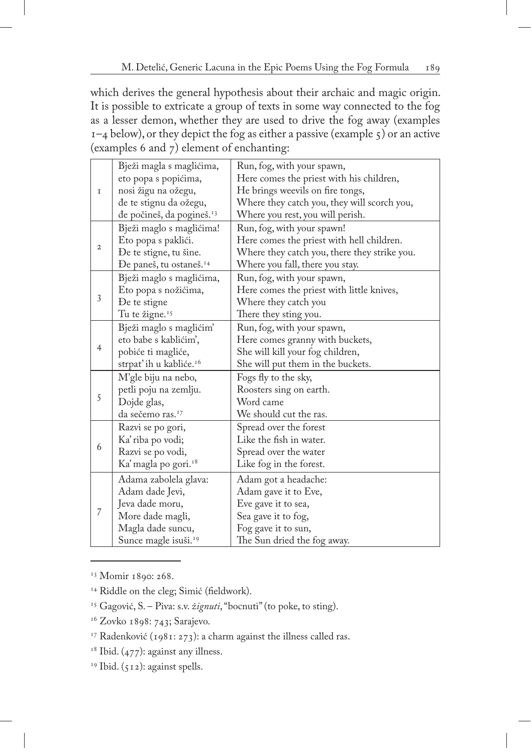which derives the general hypothesis about their archaic and magic origin. It is possible to extricate a group of texts in some way connected to the fog as a lesser demon, whether they are used to drive the fog away (examples  $1-4$  below), or they depict the fog as either a passive (example  $5$ ) or an active (examples 6 and 7) element of enchanting:

|                  | Bježi magla s maglićima,              | Run, fog, with your spawn,                   |
|------------------|---------------------------------------|----------------------------------------------|
|                  | eto popa s popićima,                  | Here comes the priest with his children,     |
| 1                | nosi žigu na ožegu,                   | He brings weevils on fire tongs,             |
|                  | đe te stignu da ožegu,                | Where they catch you, they will scorch you,  |
|                  | đe počineš, da pogineš. <sup>13</sup> | Where you rest, you will perish.             |
|                  | Bježi maglo s maglićima!              | Run, fog, with your spawn!                   |
|                  | Eto popa s paklići.                   | Here comes the priest with hell children.    |
| $\boldsymbol{2}$ | De te stigne, tu šine.                | Where they catch you, there they strike you. |
|                  | Đe paneš, tu ostaneš. <sup>14</sup>   | Where you fall, there you stay.              |
|                  | Bježi maglo s maglićima,              | Run, fog, with your spawn,                   |
|                  | Eto popa s nožićima,                  | Here comes the priest with little knives,    |
| 3                | De te stigne                          | Where they catch you                         |
|                  | Tu te žigne. <sup>15</sup>            | There they sting you.                        |
|                  | Bježi maglo s maglićim'               | Run, fog, with your spawn,                   |
|                  | eto babe s kablićim',                 | Here comes granny with buckets,              |
| $\overline{4}$   | pobiće ti magliće,                    | She will kill your fog children,             |
|                  | strpat'ih u kabliće. <sup>16</sup>    | She will put them in the buckets.            |
|                  | M'gle biju na nebo,                   | Fogs fly to the sky,                         |
|                  | petli poju na zemlju.                 | Roosters sing on earth.                      |
| 5                | Dojde glas,                           | Word came                                    |
|                  | da sečemo ras. <sup>17</sup>          | We should cut the ras.                       |
|                  | Razvi se po gori,                     | Spread over the forest                       |
|                  | Ka' riba po vodi;                     | Like the fish in water.                      |
| 6                | Razvi se po vodi,                     | Spread over the water                        |
|                  | Ka' magla po gori. <sup>18</sup>      | Like fog in the forest.                      |
|                  |                                       |                                              |
|                  | Adama zabolela glava:                 | Adam got a headache:                         |
|                  | Adam dade Jevi,                       | Adam gave it to Eve,                         |
| 7                | Jeva dade moru,                       | Eve gave it to sea,                          |
|                  | More dade magli,                      | Sea gave it to fog,                          |
|                  | Magla dade suncu,                     | Fog gave it to sun,                          |
|                  | Sunce magle isuši. <sup>19</sup>      | The Sun dried the fog away.                  |

<sup>13</sup> Momir 1890: 268.

<sup>14</sup> Riddle on the cleg; Simić (fieldwork).

<sup>15</sup> Gagović, S. – Piva: s.v. *žignuti*, "bocnuti" (to poke, to sting).

<sup>16</sup> Zovko 1898: 743; Sarajevo.

<sup>17</sup> Radenković (1981: 273): a charm against the illness called ras.

 $18$  Ibid. (477): against any illness.

 $19$  Ibid. (512): against spells.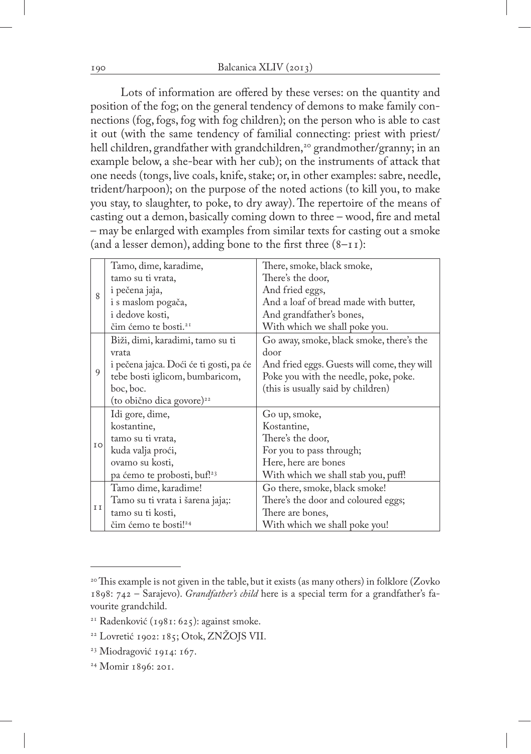Lots of information are offered by these verses: on the quantity and position of the fog; on the general tendency of demons to make family connections (fog, fogs, fog with fog children); on the person who is able to cast it out (with the same tendency of familial connecting: priest with priest/ hell children, grandfather with grandchildren,<sup>20</sup> grandmother/granny; in an example below, a she-bear with her cub); on the instruments of attack that one needs (tongs, live coals, knife, stake; or, in other examples: sabre, needle, trident/harpoon); on the purpose of the noted actions (to kill you, to make you stay, to slaughter, to poke, to dry away). The repertoire of the means of casting out a demon, basically coming down to three – wood, fire and metal – may be enlarged with examples from similar texts for casting out a smoke (and a lesser demon), adding bone to the first three  $(8-\text{II})$ :

|    | Tamo, dime, karadime,                   | There, smoke, black smoke,                  |
|----|-----------------------------------------|---------------------------------------------|
|    | tamo su ti vrata,                       | There's the door,                           |
| 8  | i pečena jaja,                          | And fried eggs,                             |
|    | i s maslom pogača,                      | And a loaf of bread made with butter,       |
|    | i dedove kosti,                         | And grandfather's bones,                    |
|    | čim ćemo te bosti. <sup>21</sup>        | With which we shall poke you.               |
|    | Biži, dimi, karadimi, tamo su ti        | Go away, smoke, black smoke, there's the    |
|    | vrata                                   | door                                        |
|    | i pečena jajca. Doći će ti gosti, pa će | And fried eggs. Guests will come, they will |
| 9  | tebe bosti iglicom, bumbaricom,         | Poke you with the needle, poke, poke.       |
|    | boc, boc.                               | (this is usually said by children)          |
|    | (to obično dica govore) <sup>22</sup>   |                                             |
|    | Idi gore, dime,                         | Go up, smoke,                               |
|    | kostantine,                             | Kostantine,                                 |
|    | tamo su ti vrata,                       | There's the door,                           |
| IO | kuda valja proći,                       | For you to pass through;                    |
|    | ovamo su kosti,                         | Here, here are bones                        |
|    | pa ćemo te probosti, buf! <sup>23</sup> | With which we shall stab you, puff!         |
|    | Tamo dime, karadime!                    | Go there, smoke, black smoke!               |
|    | Tamo su ti vrata i šarena jaja;:        | There's the door and coloured eggs;         |
| II | tamo su ti kosti,                       | There are bones,                            |
|    | čim ćemo te bosti! <sup>24</sup>        | With which we shall poke you!               |

- 23 Miodragović 1914: 167.
- 24 Momir 1896: 201.

 $20$ <sup>20</sup> This example is not given in the table, but it exists (as many others) in folklore (Zovko 1898: 742 – Sarajevo). *Grandfather's child* here is a special term for a grandfather's favourite grandchild.

<sup>21</sup> Radenković (1981: 625): against smoke.

<sup>22</sup> Lovretić 1902: 185; Otok, ZNŽOJS VII.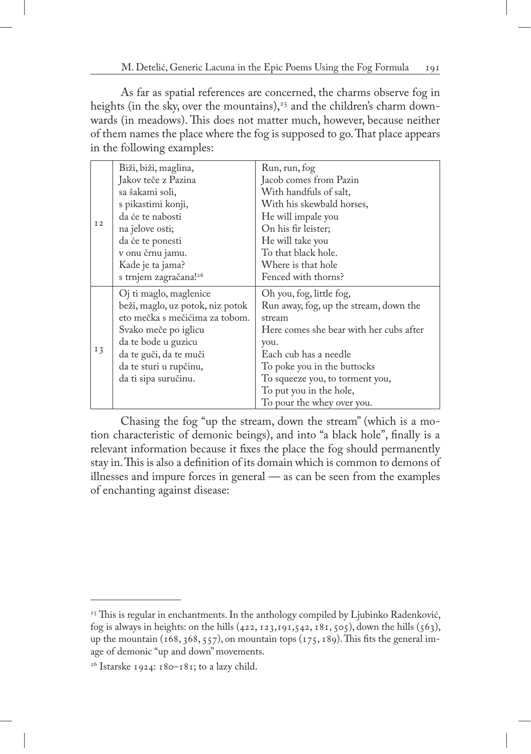As far as spatial references are concerned, the charms observe fog in heights (in the sky, over the mountains),<sup>25</sup> and the children's charm downwards (in meadows). This does not matter much, however, because neither of them names the place where the fog is supposed to go. That place appears in the following examples:

|                | Biži, biži, maglina,              | Run, run, fog                           |
|----------------|-----------------------------------|-----------------------------------------|
|                | Jakov teče z Pazina               | Jacob comes from Pazin                  |
|                | sa šakami soli,                   | With handfuls of salt,                  |
|                | s pikastimi konji,                | With his skewbald horses,               |
|                | da će te nabosti                  | He will impale you                      |
| I <sub>2</sub> | na jelove osti;                   | On his fir leister;                     |
|                | da će te ponesti                  | He will take you                        |
|                | v onu črnu jamu.                  | To that black hole.                     |
|                | Kade je ta jama?                  | Where is that hole                      |
|                | s trnjem zagračana! <sup>26</sup> | Fenced with thorns?                     |
|                | Oj ti maglo, maglenice            | Oh you, fog, little fog,                |
|                | beži, maglo, uz potok, niz potok  | Run away, fog, up the stream, down the  |
|                | eto mečka s mečićima za tobom.    | stream                                  |
|                | Svako meče po iglicu              | Here comes she bear with her cubs after |
|                | da te bode u guzicu               | you.                                    |
| 13             | da te guči, da te muči            | Each cub has a needle                   |
|                | da te sturi u rupčinu,            | To poke you in the buttocks             |
|                | da ti sipa suručinu.              | To squeeze you, to torment you,         |
|                |                                   | To put you in the hole,                 |
|                |                                   | To pour the whey over you.              |

Chasing the fog "up the stream, down the stream" (which is a motion characteristic of demonic beings), and into "a black hole", finally is a relevant information because it fixes the place the fog should permanently stay in. This is also a definition of its domain which is common to demons of illnesses and impure forces in general — as can be seen from the examples of enchanting against disease:

<sup>&</sup>lt;sup>25</sup> This is regular in enchantments. In the anthology compiled by Ljubinko Radenković, fog is always in heights: on the hills  $(422, 123, 191, 542, 181, 505)$ , down the hills  $(563)$ , up the mountain (168, 368, 557), on mountain tops (175, 189). This fits the general image of demonic "up and down" movements.

<sup>&</sup>lt;sup>26</sup> Istarske 1924: 180–181; to a lazy child.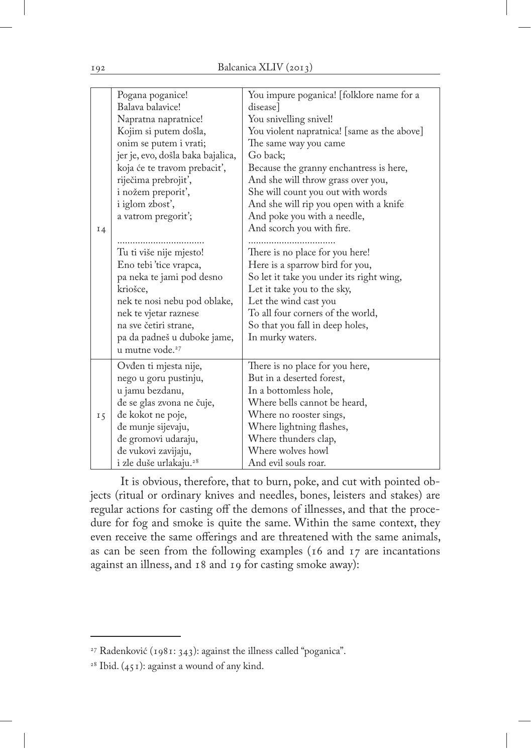|    | Pogana poganice!<br>Balava balavice! | You impure poganica! [folklore name for a<br>disease |
|----|--------------------------------------|------------------------------------------------------|
|    | Napratna napratnice!                 | You snivelling snivel!                               |
|    | Kojim si putem došla,                | You violent napratnica! [same as the above]          |
|    | onim se putem i vrati;               | The same way you came                                |
|    | jer je, evo, došla baka bajalica,    | Go back;                                             |
|    | koja će te travom prebaciť,          | Because the granny enchantress is here,              |
|    | riječima prebrojit',                 | And she will throw grass over you,                   |
|    | i nožem preporit',                   | She will count you out with words                    |
|    | i iglom zbost',                      | And she will rip you open with a knife               |
|    | a vatrom pregorit';                  | And poke you with a needle,                          |
| I4 |                                      | And scorch you with fire.                            |
|    |                                      |                                                      |
|    | Tu ti više nije mjesto!              | There is no place for you here!                      |
|    | Eno tebi 'tice vrapca,               | Here is a sparrow bird for you,                      |
|    | pa neka te jami pod desno            | So let it take you under its right wing,             |
|    | kriošce,                             | Let it take you to the sky,                          |
|    | nek te nosi nebu pod oblake,         | Let the wind cast you                                |
|    | nek te vjetar raznese                | To all four corners of the world,                    |
|    | na sve četiri strane,                | So that you fall in deep holes,                      |
|    | pa da padneš u duboke jame,          | In murky waters.                                     |
|    | u mutne vode. <sup>27</sup>          |                                                      |
|    | Ovđen ti mjesta nije,                | There is no place for you here,                      |
|    | nego u goru pustinju,                | But in a deserted forest,                            |
|    | u jamu bezdanu,                      | In a bottomless hole,                                |
|    | de se glas zvona ne čuje,            | Where bells cannot be heard,                         |
| 15 | đe kokot ne poje,                    | Where no rooster sings,                              |
|    | đe munje sijevaju,                   | Where lightning flashes,                             |
|    | đe gromovi udaraju,                  | Where thunders clap,                                 |
|    | đe vukovi zavijaju,                  | Where wolves howl                                    |
|    | i zle duše urlakaju. <sup>28</sup>   | And evil souls roar.                                 |

It is obvious, therefore, that to burn, poke, and cut with pointed objects (ritual or ordinary knives and needles, bones, leisters and stakes) are regular actions for casting off the demons of illnesses, and that the procedure for fog and smoke is quite the same. Within the same context, they even receive the same offerings and are threatened with the same animals, as can be seen from the following examples (16 and 17 are incantations against an illness, and 18 and 19 for casting smoke away):

<sup>27</sup> Radenković (1981: 343): against the illness called "poganica".

<sup>&</sup>lt;sup>28</sup> Ibid.  $(451)$ : against a wound of any kind.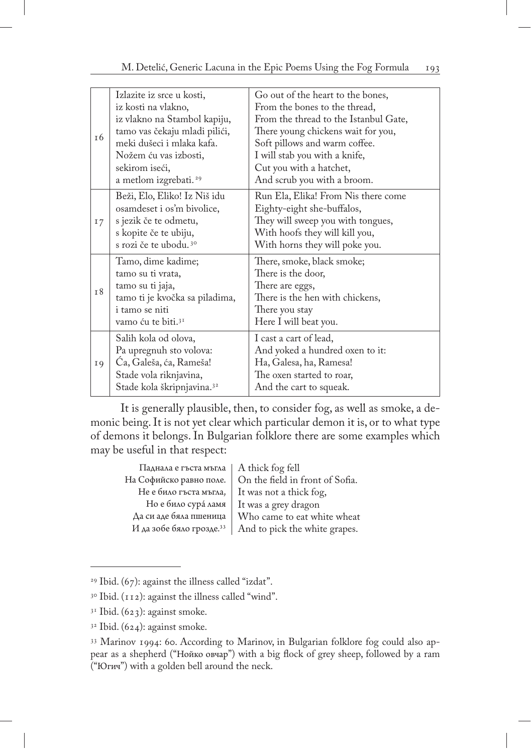| <sup>t6</sup> | Izlazite iz srce u kosti,<br>iz kosti na vlakno,<br>iz vlakno na Stambol kapiju,<br>tamo vas čekaju mladi pilići,<br>meki dušeci i mlaka kafa.<br>Nožem ću vas izbosti,<br>sekirom iseći,<br>a metlom izgrebati. <sup>29</sup> | Go out of the heart to the bones,<br>From the bones to the thread,<br>From the thread to the Istanbul Gate,<br>There young chickens wait for you,<br>Soft pillows and warm coffee.<br>I will stab you with a knife,<br>Cut you with a hatchet,<br>And scrub you with a broom. |
|---------------|--------------------------------------------------------------------------------------------------------------------------------------------------------------------------------------------------------------------------------|-------------------------------------------------------------------------------------------------------------------------------------------------------------------------------------------------------------------------------------------------------------------------------|
| 17            | Beži, Elo, Eliko! Iz Niš idu<br>osamdeset i os'm bivolice,<br>s jezik če te odmetu,<br>s kopite če te ubiju,<br>s rozi če te ubodu. <sup>30</sup>                                                                              | Run Ela, Elika! From Nis there come<br>Eighty-eight she-buffalos,<br>They will sweep you with tongues,<br>With hoofs they will kill you,<br>With horns they will poke you.                                                                                                    |
| I8            | Tamo, dime kadime;<br>tamo su ti vrata,<br>tamo su ti jaja,<br>tamo ti je kvočka sa piladima,<br>i tamo se niti<br>vamo ću te biti. <sup>31</sup>                                                                              | There, smoke, black smoke;<br>There is the door,<br>There are eggs,<br>There is the hen with chickens,<br>There you stay<br>Here I will beat you.                                                                                                                             |
| I 9           | Salih kola od olova,<br>Pa upregnuh sto volova:<br>Ca, Galeša, ća, Rameša!<br>Stade vola riknjavina,<br>Stade kola škripnjavina. <sup>32</sup>                                                                                 | I cast a cart of lead,<br>And yoked a hundred oxen to it:<br>Ha, Galesa, ha, Ramesa!<br>The oxen started to roar,<br>And the cart to squeak.                                                                                                                                  |

It is generally plausible, then, to consider fog, as well as smoke, a demonic being. It is not yet clear which particular demon it is, or to what type of demons it belongs. In Bulgarian folklore there are some examples which may be useful in that respect:

| Паднала е гъста мъгла                | A thick fog fell                |
|--------------------------------------|---------------------------------|
| На Софийско равно поле.              | On the field in front of Sofia. |
| Не е било гъста мъгла,               | It was not a thick fog,         |
| Но е било сура ламя                  | It was a grey dragon            |
| Да си аде бяла пшеница               | Who came to eat white wheat     |
| И да зобе бяло грозде. <sup>33</sup> | And to pick the white grapes.   |

<sup>29</sup> Ibid. (67): against the illness called "izdat".

<sup>&</sup>lt;sup>30</sup> Ibid. (112): against the illness called "wind".

 $3<sup>1</sup>$  Ibid. (623): against smoke.

 $32$  Ibid. (624): against smoke.

<sup>33</sup> Marinov 1994: 60. According to Marinov, in Bulgarian folklore fog could also appear as a shepherd ("Нойко овчар") with a big flock of grey sheep, followed by a ram ("Югич") with a golden bell around the neck.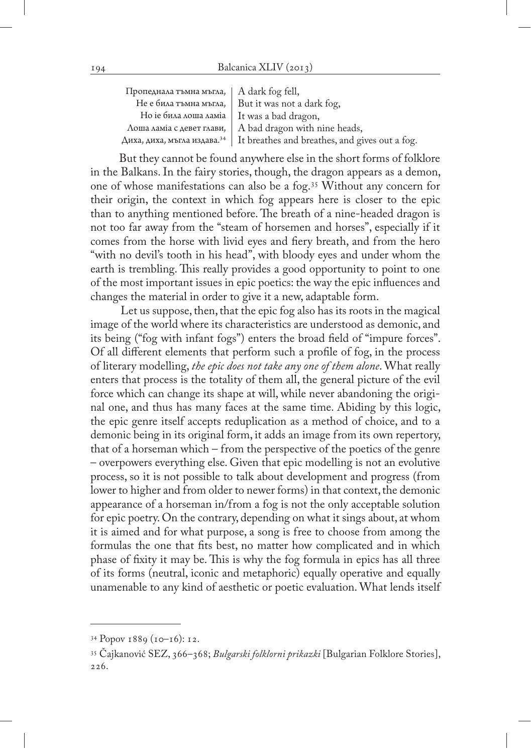| Пропеднала тъмна мъгла,   A dark fog fell,   |                                                                                          |
|----------------------------------------------|------------------------------------------------------------------------------------------|
|                                              | Не е била тъмна мъгла, $\vert$ But it was not a dark fog,                                |
| Но іе била лоша ламіа   It was a bad dragon, |                                                                                          |
|                                              | Лоша ламіа с девет глави, $ $ A bad dragon with nine heads,                              |
|                                              | Диха, диха, мъгла издава. <sup>34</sup>   It breathes and breathes, and gives out a fog. |

But they cannot be found anywhere else in the short forms of folklore in the Balkans. In the fairy stories, though, the dragon appears as a demon, one of whose manifestations can also be a fog.35 Without any concern for their origin, the context in which fog appears here is closer to the epic than to anything mentioned before. The breath of a nine-headed dragon is not too far away from the "steam of horsemen and horses", especially if it comes from the horse with livid eyes and fiery breath, and from the hero "with no devil's tooth in his head", with bloody eyes and under whom the earth is trembling. This really provides a good opportunity to point to one of the most important issues in epic poetics: the way the epic influences and changes the material in order to give it a new, adaptable form.

Let us suppose, then, that the epic fog also has its roots in the magical image of the world where its characteristics are understood as demonic, and its being ("fog with infant fogs") enters the broad field of "impure forces". Of all different elements that perform such a profile of fog, in the process of literary modelling, *the epic does not take any one of them alone*. What really enters that process is the totality of them all, the general picture of the evil force which can change its shape at will, while never abandoning the original one, and thus has many faces at the same time. Abiding by this logic, the epic genre itself accepts reduplication as a method of choice, and to a demonic being in its original form, it adds an image from its own repertory, that of a horseman which – from the perspective of the poetics of the genre – overpowers everything else. Given that epic modelling is not an evolutive process, so it is not possible to talk about development and progress (from lower to higher and from older to newer forms) in that context, the demonic appearance of a horseman in/from a fog is not the only acceptable solution for epic poetry. On the contrary, depending on what it sings about, at whom it is aimed and for what purpose, a song is free to choose from among the formulas the one that fits best, no matter how complicated and in which phase of fixity it may be. This is why the fog formula in epics has all three of its forms (neutral, iconic and metaphoric) equally operative and equally unamenable to any kind of aesthetic or poetic evaluation. What lends itself

<sup>34</sup> Popov 1889 (10–16): 12.

<sup>35</sup> Čajkanović SEZ, 366–368; *Bulgarski folklorni prikazki* [Bulgarian Folklore Stories], 226.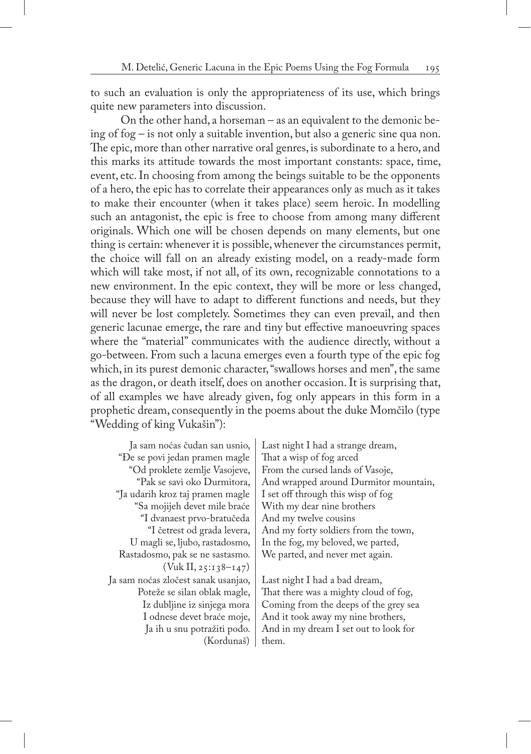to such an evaluation is only the appropriateness of its use, which brings quite new parameters into discussion.

On the other hand, a horseman – as an equivalent to the demonic being of fog – is not only a suitable invention, but also a generic sine qua non. The epic, more than other narrative oral genres, is subordinate to a hero, and this marks its attitude towards the most important constants: space, time, event, etc. In choosing from among the beings suitable to be the opponents of a hero, the epic has to correlate their appearances only as much as it takes to make their encounter (when it takes place) seem heroic. In modelling such an antagonist, the epic is free to choose from among many different originals. Which one will be chosen depends on many elements, but one thing is certain: whenever it is possible, whenever the circumstances permit, the choice will fall on an already existing model, on a ready-made form which will take most, if not all, of its own, recognizable connotations to a new environment. In the epic context, they will be more or less changed, because they will have to adapt to different functions and needs, but they will never be lost completely. Sometimes they can even prevail, and then generic lacunae emerge, the rare and tiny but effective manoeuvring spaces where the "material" communicates with the audience directly, without a go-between. From such a lacuna emerges even a fourth type of the epic fog which, in its purest demonic character, "swallows horses and men", the same as the dragon, or death itself, does on another occasion. It is surprising that, of all examples we have already given, fog only appears in this form in a prophetic dream, consequently in the poems about the duke Momčilo (type "Wedding of king Vukašin"):

Ja sam noćas čudan san usnio, "Đe se povi jedan pramen magle "Od proklete zemlje Vasojeve, "Pak se savi oko Durmitora, "Ja udarih kroz taj pramen magle "Sa mojijeh devet mile braće "I dvanaest prvo-bratučeda "I četrest od grada levera, U magli se, ljubo, rastadosmo, Rastadosmo, pak se ne sastasmo. (Vuk II, 25:138–147) Ja sam noćas zločest sanak usanjao, Poteže se silan oblak magle, Iz dubljine iz sinjega mora I odnese devet braće moje, Ja ih u snu potražiti pođo. (Kordunaš) Last night I had a strange dream, That a wisp of fog arced From the cursed lands of Vasoje, And wrapped around Durmitor mountain, I set off through this wisp of fog With my dear nine brothers And my twelve cousins And my forty soldiers from the town, In the fog, my beloved, we parted, We parted, and never met again.

Last night I had a bad dream, That there was a mighty cloud of fog, Coming from the deeps of the grey sea And it took away my nine brothers, And in my dream I set out to look for them.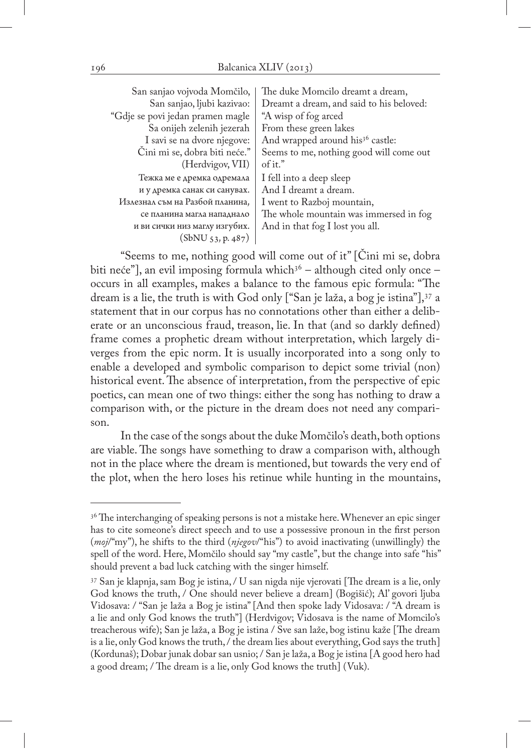| San sanjao vojvoda Momčilo,      | The duke Momcilo dreamt a dream,             |
|----------------------------------|----------------------------------------------|
| San sanjao, ljubi kazivao:       | Dreamt a dream, and said to his beloved:     |
| "Gdje se povi jedan pramen magle | "A wisp of fog arced                         |
| Sa onijeh zelenih jezerah        | From these green lakes                       |
| I savi se na dvore njegove:      | And wrapped around his <sup>36</sup> castle: |
| Čini mi se, dobra biti neće."    | Seems to me, nothing good will come out      |
| (Herdvigov, VII)                 | of it."                                      |
| Тежка ме е дремка одремала       | I fell into a deep sleep                     |
| и у дремка санак си санувах.     | And I dreamt a dream.                        |
| Излезнал съм на Разбой планина,  | I went to Razboj mountain,                   |
| се планина магла нападнало       | The whole mountain was immersed in fog       |
| и ви сички низ маглу изгубих.    | And in that fog I lost you all.              |
| $(SbNU_{53}, p.487)$             |                                              |

"Seems to me, nothing good will come out of it" [Čini mi se, dobra biti neće"], an evil imposing formula which $3^6$  – although cited only once – occurs in all examples, makes a balance to the famous epic formula: "The dream is a lie, the truth is with God only ["San je laža, a bog je istina"],37 a statement that in our corpus has no connotations other than either a deliberate or an unconscious fraud, treason, lie. In that (and so darkly defined) frame comes a prophetic dream without interpretation, which largely diverges from the epic norm. It is usually incorporated into a song only to enable a developed and symbolic comparison to depict some trivial (non) historical event. The absence of interpretation, from the perspective of epic poetics, can mean one of two things: either the song has nothing to draw a comparison with, or the picture in the dream does not need any comparison.

In the case of the songs about the duke Momčilo's death, both options are viable. The songs have something to draw a comparison with, although not in the place where the dream is mentioned, but towards the very end of the plot, when the hero loses his retinue while hunting in the mountains,

<sup>&</sup>lt;sup>36</sup> The interchanging of speaking persons is not a mistake here. Whenever an epic singer has to cite someone's direct speech and to use a possessive pronoun in the first person (*moj*/"my"), he shifts to the third (*njegov*/"his") to avoid inactivating (unwillingly) the spell of the word. Here, Momčilo should say "my castle", but the change into safe "his" should prevent a bad luck catching with the singer himself.

<sup>37</sup> San je klapnja, sam Bog je istina, / U san nigda nije vjerovati [The dream is a lie, only God knows the truth, / One should never believe a dream] (Bogišić); Al' govori ljuba Vidosava: / "San je laža a Bog je istina" [And then spoke lady Vidosava: / "A dream is a lie and only God knows the truth"] (Herdvigov; Vidosava is the name of Momcilo's treacherous wife); San je laža, a Bog je istina / Sve san laže, bog istinu kaže [The dream is a lie, only God knows the truth, / the dream lies about everything, God says the truth] (Kordunaš); Dobar junak dobar san usnio; / San je laža, a Bog je istina [A good hero had a good dream; / The dream is a lie, only God knows the truth] (Vuk).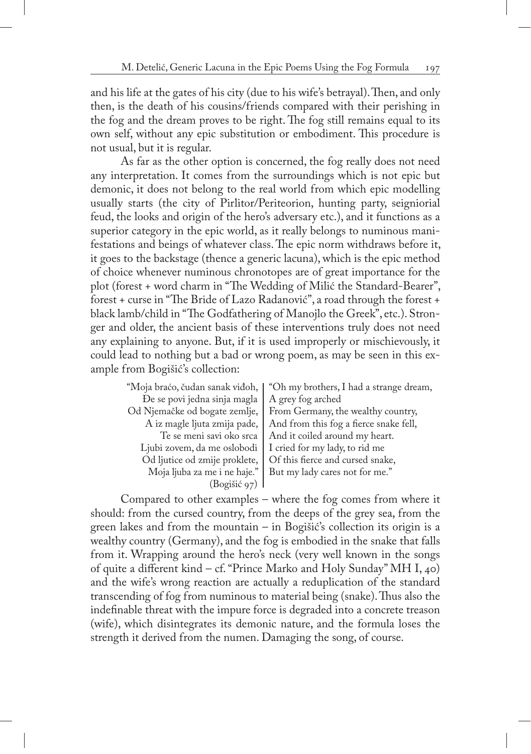and his life at the gates of his city (due to his wife's betrayal). Then, and only then, is the death of his cousins/friends compared with their perishing in the fog and the dream proves to be right. The fog still remains equal to its own self, without any epic substitution or embodiment. This procedure is not usual, but it is regular.

As far as the other option is concerned, the fog really does not need any interpretation. It comes from the surroundings which is not epic but demonic, it does not belong to the real world from which epic modelling usually starts (the city of Pirlitor/Periteorion, hunting party, seigniorial feud, the looks and origin of the hero's adversary etc.), and it functions as a superior category in the epic world, as it really belongs to numinous manifestations and beings of whatever class. The epic norm withdraws before it, it goes to the backstage (thence a generic lacuna), which is the epic method of choice whenever numinous chronotopes are of great importance for the plot (forest + word charm in "The Wedding of Milić the Standard-Bearer", forest + curse in "The Bride of Lazo Radanović", a road through the forest + black lamb/child in "The Godfathering of Manojlo the Greek", etc.). Stronger and older, the ancient basis of these interventions truly does not need any explaining to anyone. But, if it is used improperly or mischievously, it could lead to nothing but a bad or wrong poem, as may be seen in this example from Bogišić's collection:

| "Moja braćo, čudan sanak viđoh, | "Oh my brothers, I had a strange dream, |
|---------------------------------|-----------------------------------------|
| De se povi jedna sinja magla    | A grey fog arched                       |
| Od Njemačke od bogate zemlje,   | From Germany, the wealthy country,      |
| A iz magle ljuta zmija pade,    | And from this fog a fierce snake fell,  |
| Te se meni savi oko srca        | And it coiled around my heart.          |
| Ljubi zovem, da me oslobodi     | I cried for my lady, to rid me          |
| Od ljutice od zmije proklete,   | Of this fierce and cursed snake,        |
| Moja ljuba za me i ne haje."    | But my lady cares not for me."          |
| (Bogišić 97)                    |                                         |
|                                 |                                         |

Compared to other examples – where the fog comes from where it should: from the cursed country, from the deeps of the grey sea, from the green lakes and from the mountain – in Bogišić's collection its origin is a wealthy country (Germany), and the fog is embodied in the snake that falls from it. Wrapping around the hero's neck (very well known in the songs of quite a different kind – cf. "Prince Marko and Holy Sunday" MH I, 40) and the wife's wrong reaction are actually a reduplication of the standard transcending of fog from numinous to material being (snake). Thus also the indefinable threat with the impure force is degraded into a concrete treason (wife), which disintegrates its demonic nature, and the formula loses the strength it derived from the numen. Damaging the song, of course.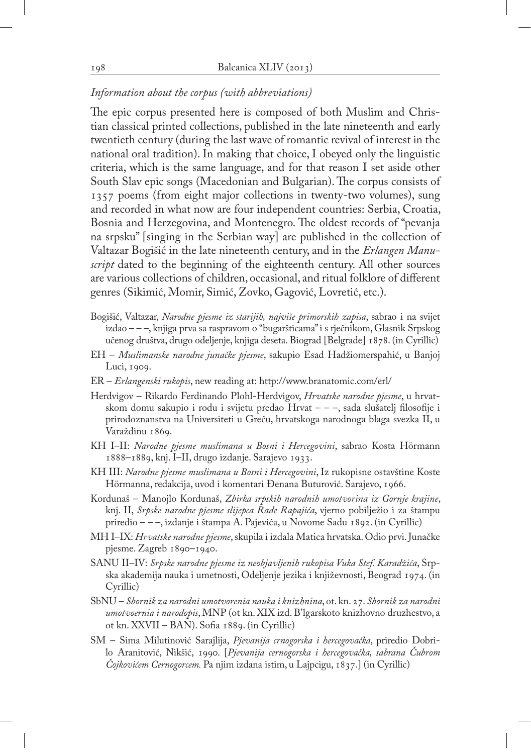#### *Information about the corpus (with abbreviations)*

The epic corpus presented here is composed of both Muslim and Christian classical printed collections, published in the late nineteenth and early twentieth century (during the last wave of romantic revival of interest in the national oral tradition). In making that choice, I obeyed only the linguistic criteria, which is the same language, and for that reason I set aside other South Slav epic songs (Macedonian and Bulgarian). The corpus consists of 1357 poems (from eight major collections in twenty-two volumes), sung and recorded in what now are four independent countries: Serbia, Croatia, Bosnia and Herzegovina, and Montenegro. The oldest records of "pevanja na srpsku" [singing in the Serbian way] are published in the collection of Valtazar Bogišić in the late nineteenth century, and in the *Erlangen Manuscript* dated to the beginning of the eighteenth century. All other sources are various collections of children, occasional, and ritual folklore of different genres (Sikimić, Momir, Simić, Zovko, Gagović, Lovretić, etc.).

- Bogišić, Valtazar, *Narodne pjesme iz starijih, najviše primorskih zapisa*, sabrao i na svijet izdao – – –, knjiga prva sa raspravom o "bugaršticama" i s rječnikom, Glasnik Srpskog učenog društva, drugo odeljenje, knjiga deseta. Biograd [Belgrade] 1878. (in Cyrillic)
- EH *Muslimanske narodne junačke pjesme*, sakupio Esad Hadžiomerspahić, u Banjoj Luci, 1909.
- ER *Erlangenski rukopis*, new reading at: http://www.branatomic.com/erl/
- Herdvigov Rikardo Ferdinando Plohl-Herdvigov, *Hrvatske narodne pjesme*, u hrvatskom domu sakupio i rodu i svijetu predao Hrvat – – –, sada slušatelj filosofije i prirodoznanstva na Universiteti u Greču, hrvatskoga narodnoga blaga svezka II, u Varaždinu 1869.
- KH I–II: *Narodne pjesme muslimana u Bosni i Hercegovini*, sabrao Kosta Hörmann 1888–1889, knj. I–II, drugo izdanje. Sarajevo 1933.
- KH III: *Narodne pjesme muslimana u Bosni i Hercegovini*, Iz rukopisne ostavštine Koste Hörmanna, redakcija, uvod i komentari Đenana Buturović. Sarajevo, 1966.
- Kordunaš Manojlo Kordunaš, *Zbirka srpskih narodnih umotvorina iz Gornje krajine*, knj. II, *Srpske narodne pjesme slijepca Rade Rapajića*, vjerno pobilježio i za štampu priredio – – –, izdanje i štampa A. Pajevića, u Novome Sadu 1892. (in Cyrillic)
- MH I–IX: *Hrvatske narodne pjesme*, skupila i izdala Matica hrvatska. Odio prvi. Junačke pjesme. Zagreb 1890–1940.
- SANU II–IV: *Srpske narodne pjesme iz neobjavljenih rukopisa Vuka Stef. Karadžića*, Srpska akademija nauka i umetnosti, Odeljenje jezika i književnosti, Beograd 1974. (in Cyrillic)
- SbNU *Sbornik za narodni umotvorenia nauka i knizhnina*, ot. kn. 27. *Sbornik za narodni umotvoernia i narodopis*, MNP (ot kn. XIX izd. B'lgarskoto knizhovno druzhestvo, a ot kn. XXVII – BAN). Sofia 1889. (in Cyrillic)
- SM Sima Milutinović Sarajlija, *Pjevanija crnogorska i hercegovačka*, priredio Dobrilo Aranitović, Nikšić, 1990. [*Pjevanija cernogorska i hercegovačka, sabrana Čubrom Čojkovićem Cernogorcem.* Pa njim izdana istim, u Lajpcigu, 1837.] (in Cyrillic)